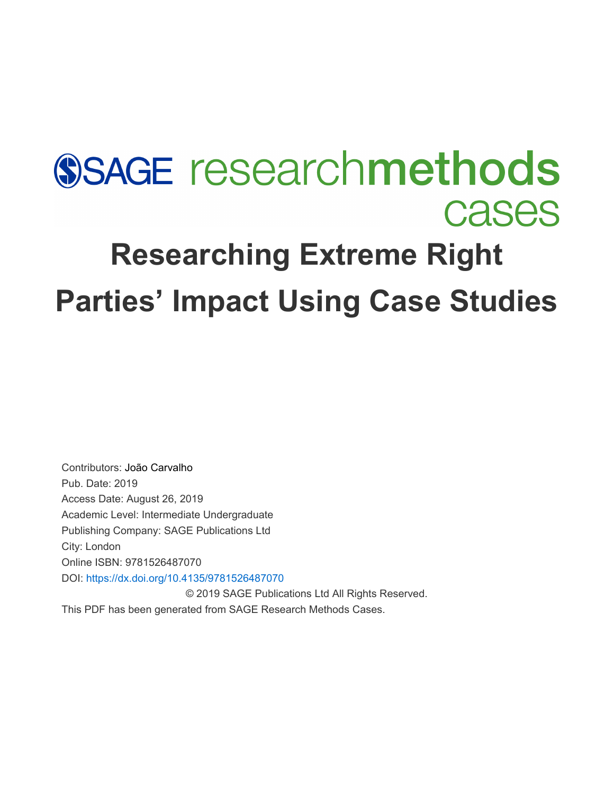# **SSAGE researchmethods Cases Researching Extreme Right Parties' Impact Using Case Studies**

Contributors: [João Carvalho](javascript:void(0);) Pub. Date: 2019 Access Date: August 26, 2019 Academic Level: Intermediate Undergraduate Publishing Company: SAGE Publications Ltd City: London Online ISBN: 9781526487070 DOI: <https://dx.doi.org/10.4135/9781526487070> © 2019 SAGE Publications Ltd All Rights Reserved.

This PDF has been generated from SAGE Research Methods Cases.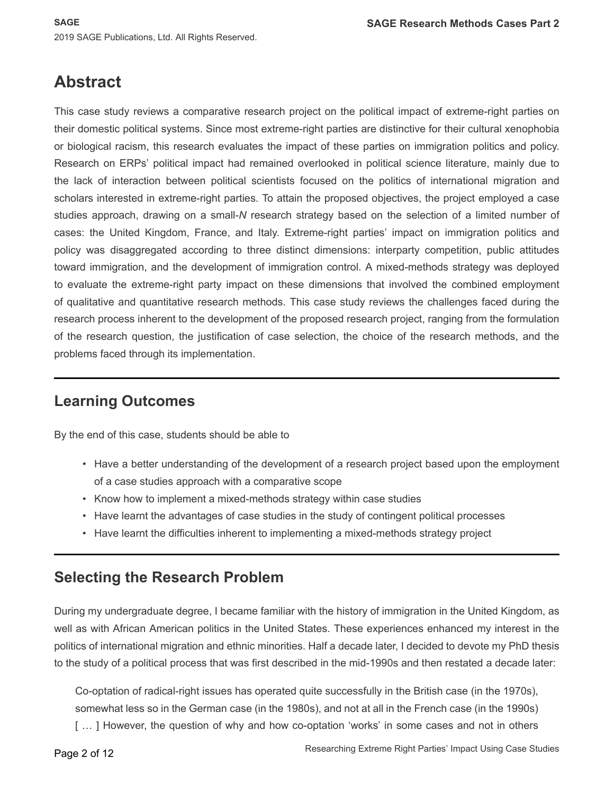## **Abstract**

This case study reviews a comparative research project on the political impact of extreme-right parties on their domestic political systems. Since most extreme-right parties are distinctive for their cultural xenophobia or biological racism, this research evaluates the impact of these parties on immigration politics and policy. Research on ERPs' political impact had remained overlooked in political science literature, mainly due to the lack of interaction between political scientists focused on the politics of international migration and scholars interested in extreme-right parties. To attain the proposed objectives, the project employed a case studies approach, drawing on a small-*N* research strategy based on the selection of a limited number of cases: the United Kingdom, France, and Italy. Extreme-right parties' impact on immigration politics and policy was disaggregated according to three distinct dimensions: interparty competition, public attitudes toward immigration, and the development of immigration control. A mixed-methods strategy was deployed to evaluate the extreme-right party impact on these dimensions that involved the combined employment of qualitative and quantitative research methods. This case study reviews the challenges faced during the research process inherent to the development of the proposed research project, ranging from the formulation of the research question, the justification of case selection, the choice of the research methods, and the problems faced through its implementation.

## **Learning Outcomes**

By the end of this case, students should be able to

- Have a better understanding of the development of a research project based upon the employment of a case studies approach with a comparative scope
- Know how to implement a mixed-methods strategy within case studies
- Have learnt the advantages of case studies in the study of contingent political processes
- Have learnt the difficulties inherent to implementing a mixed-methods strategy project

#### **Selecting the Research Problem**

During my undergraduate degree, I became familiar with the history of immigration in the United Kingdom, as well as with African American politics in the United States. These experiences enhanced my interest in the politics of international migration and ethnic minorities. Half a decade later, I decided to devote my PhD thesis to the study of a political process that was first described in the mid-1990s and then restated a decade later:

Co-optation of radical-right issues has operated quite successfully in the British case (in the 1970s), somewhat less so in the German case (in the 1980s), and not at all in the French case (in the 1990s)

[...] However, the question of why and how co-optation 'works' in some cases and not in others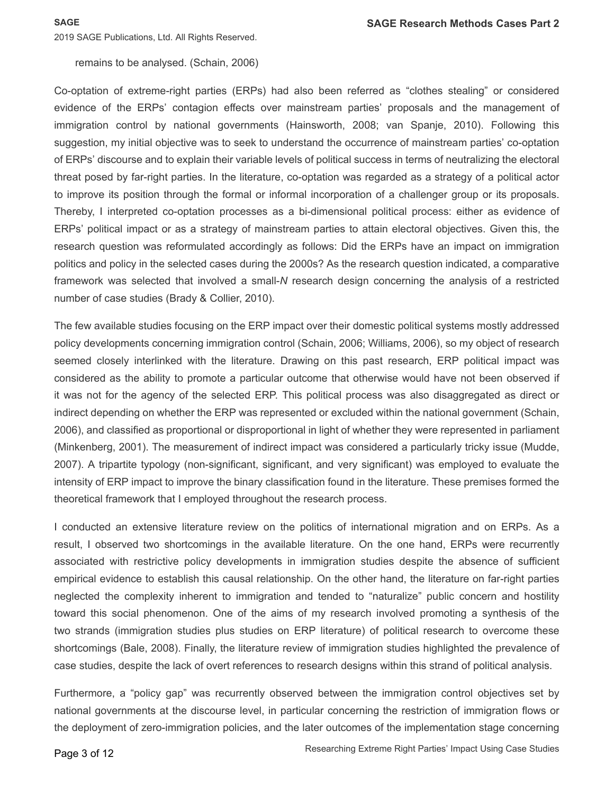remains to be analysed. (Schain, 2006)

Co-optation of extreme-right parties (ERPs) had also been referred as "clothes stealing" or considered evidence of the ERPs' contagion effects over mainstream parties' proposals and the management of immigration control by national governments (Hainsworth, 2008; van Spanje, 2010). Following this suggestion, my initial objective was to seek to understand the occurrence of mainstream parties' co-optation of ERPs' discourse and to explain their variable levels of political success in terms of neutralizing the electoral threat posed by far-right parties. In the literature, co-optation was regarded as a strategy of a political actor to improve its position through the formal or informal incorporation of a challenger group or its proposals. Thereby, I interpreted co-optation processes as a bi-dimensional political process: either as evidence of ERPs' political impact or as a strategy of mainstream parties to attain electoral objectives. Given this, the research question was reformulated accordingly as follows: Did the ERPs have an impact on immigration politics and policy in the selected cases during the 2000s? As the research question indicated, a comparative framework was selected that involved a small-*N* research design concerning the analysis of a restricted number of case studies (Brady & Collier, 2010).

The few available studies focusing on the ERP impact over their domestic political systems mostly addressed policy developments concerning immigration control (Schain, 2006; Williams, 2006), so my object of research seemed closely interlinked with the literature. Drawing on this past research, ERP political impact was considered as the ability to promote a particular outcome that otherwise would have not been observed if it was not for the agency of the selected ERP. This political process was also disaggregated as direct or indirect depending on whether the ERP was represented or excluded within the national government (Schain, 2006), and classified as proportional or disproportional in light of whether they were represented in parliament (Minkenberg, 2001). The measurement of indirect impact was considered a particularly tricky issue (Mudde, 2007). A tripartite typology (non-significant, significant, and very significant) was employed to evaluate the intensity of ERP impact to improve the binary classification found in the literature. These premises formed the theoretical framework that I employed throughout the research process.

I conducted an extensive literature review on the politics of international migration and on ERPs. As a result, I observed two shortcomings in the available literature. On the one hand, ERPs were recurrently associated with restrictive policy developments in immigration studies despite the absence of sufficient empirical evidence to establish this causal relationship. On the other hand, the literature on far-right parties neglected the complexity inherent to immigration and tended to "naturalize" public concern and hostility toward this social phenomenon. One of the aims of my research involved promoting a synthesis of the two strands (immigration studies plus studies on ERP literature) of political research to overcome these shortcomings (Bale, 2008). Finally, the literature review of immigration studies highlighted the prevalence of case studies, despite the lack of overt references to research designs within this strand of political analysis.

Furthermore, a "policy gap" was recurrently observed between the immigration control objectives set by national governments at the discourse level, in particular concerning the restriction of immigration flows or the deployment of zero-immigration policies, and the later outcomes of the implementation stage concerning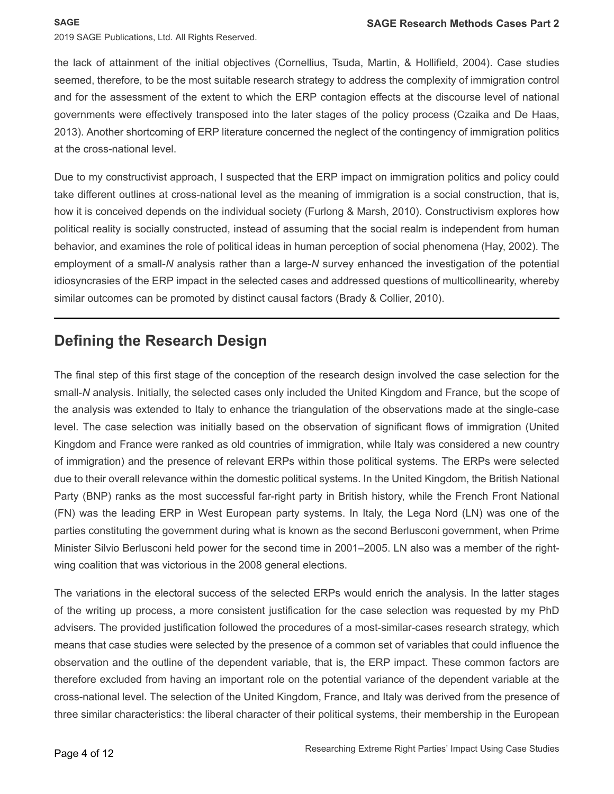the lack of attainment of the initial objectives (Cornellius, Tsuda, Martin, & Hollifield, 2004). Case studies seemed, therefore, to be the most suitable research strategy to address the complexity of immigration control and for the assessment of the extent to which the ERP contagion effects at the discourse level of national governments were effectively transposed into the later stages of the policy process (Czaika and De Haas, 2013). Another shortcoming of ERP literature concerned the neglect of the contingency of immigration politics at the cross-national level.

Due to my constructivist approach, I suspected that the ERP impact on immigration politics and policy could take different outlines at cross-national level as the meaning of immigration is a social construction, that is, how it is conceived depends on the individual society (Furlong & Marsh, 2010). Constructivism explores how political reality is socially constructed, instead of assuming that the social realm is independent from human behavior, and examines the role of political ideas in human perception of social phenomena (Hay, 2002). The employment of a small-*N* analysis rather than a large-*N* survey enhanced the investigation of the potential idiosyncrasies of the ERP impact in the selected cases and addressed questions of multicollinearity, whereby similar outcomes can be promoted by distinct causal factors (Brady & Collier, 2010).

### **Defining the Research Design**

The final step of this first stage of the conception of the research design involved the case selection for the small-*N* analysis. Initially, the selected cases only included the United Kingdom and France, but the scope of the analysis was extended to Italy to enhance the triangulation of the observations made at the single-case level. The case selection was initially based on the observation of significant flows of immigration (United Kingdom and France were ranked as old countries of immigration, while Italy was considered a new country of immigration) and the presence of relevant ERPs within those political systems. The ERPs were selected due to their overall relevance within the domestic political systems. In the United Kingdom, the British National Party (BNP) ranks as the most successful far-right party in British history, while the French Front National (FN) was the leading ERP in West European party systems. In Italy, the Lega Nord (LN) was one of the parties constituting the government during what is known as the second Berlusconi government, when Prime Minister Silvio Berlusconi held power for the second time in 2001–2005. LN also was a member of the rightwing coalition that was victorious in the 2008 general elections.

The variations in the electoral success of the selected ERPs would enrich the analysis. In the latter stages of the writing up process, a more consistent justification for the case selection was requested by my PhD advisers. The provided justification followed the procedures of a most-similar-cases research strategy, which means that case studies were selected by the presence of a common set of variables that could influence the observation and the outline of the dependent variable, that is, the ERP impact. These common factors are therefore excluded from having an important role on the potential variance of the dependent variable at the cross-national level. The selection of the United Kingdom, France, and Italy was derived from the presence of three similar characteristics: the liberal character of their political systems, their membership in the European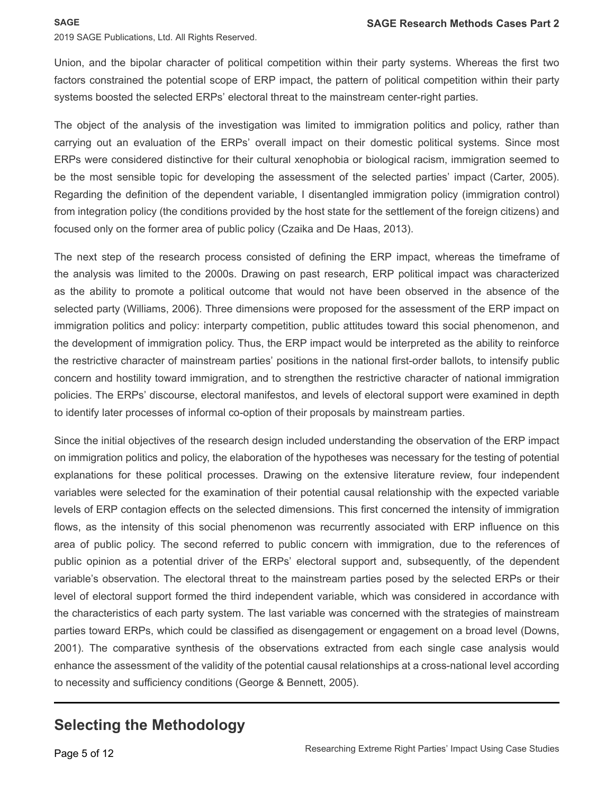Union, and the bipolar character of political competition within their party systems. Whereas the first two factors constrained the potential scope of ERP impact, the pattern of political competition within their party systems boosted the selected ERPs' electoral threat to the mainstream center-right parties.

The object of the analysis of the investigation was limited to immigration politics and policy, rather than carrying out an evaluation of the ERPs' overall impact on their domestic political systems. Since most ERPs were considered distinctive for their cultural xenophobia or biological racism, immigration seemed to be the most sensible topic for developing the assessment of the selected parties' impact (Carter, 2005). Regarding the definition of the dependent variable, I disentangled immigration policy (immigration control) from integration policy (the conditions provided by the host state for the settlement of the foreign citizens) and focused only on the former area of public policy (Czaika and De Haas, 2013).

The next step of the research process consisted of defining the ERP impact, whereas the timeframe of the analysis was limited to the 2000s. Drawing on past research, ERP political impact was characterized as the ability to promote a political outcome that would not have been observed in the absence of the selected party (Williams, 2006). Three dimensions were proposed for the assessment of the ERP impact on immigration politics and policy: interparty competition, public attitudes toward this social phenomenon, and the development of immigration policy. Thus, the ERP impact would be interpreted as the ability to reinforce the restrictive character of mainstream parties' positions in the national first-order ballots, to intensify public concern and hostility toward immigration, and to strengthen the restrictive character of national immigration policies. The ERPs' discourse, electoral manifestos, and levels of electoral support were examined in depth to identify later processes of informal co-option of their proposals by mainstream parties.

Since the initial objectives of the research design included understanding the observation of the ERP impact on immigration politics and policy, the elaboration of the hypotheses was necessary for the testing of potential explanations for these political processes. Drawing on the extensive literature review, four independent variables were selected for the examination of their potential causal relationship with the expected variable levels of ERP contagion effects on the selected dimensions. This first concerned the intensity of immigration flows, as the intensity of this social phenomenon was recurrently associated with ERP influence on this area of public policy. The second referred to public concern with immigration, due to the references of public opinion as a potential driver of the ERPs' electoral support and, subsequently, of the dependent variable's observation. The electoral threat to the mainstream parties posed by the selected ERPs or their level of electoral support formed the third independent variable, which was considered in accordance with the characteristics of each party system. The last variable was concerned with the strategies of mainstream parties toward ERPs, which could be classified as disengagement or engagement on a broad level (Downs, 2001). The comparative synthesis of the observations extracted from each single case analysis would enhance the assessment of the validity of the potential causal relationships at a cross-national level according to necessity and sufficiency conditions (George & Bennett, 2005).

## **Selecting the Methodology**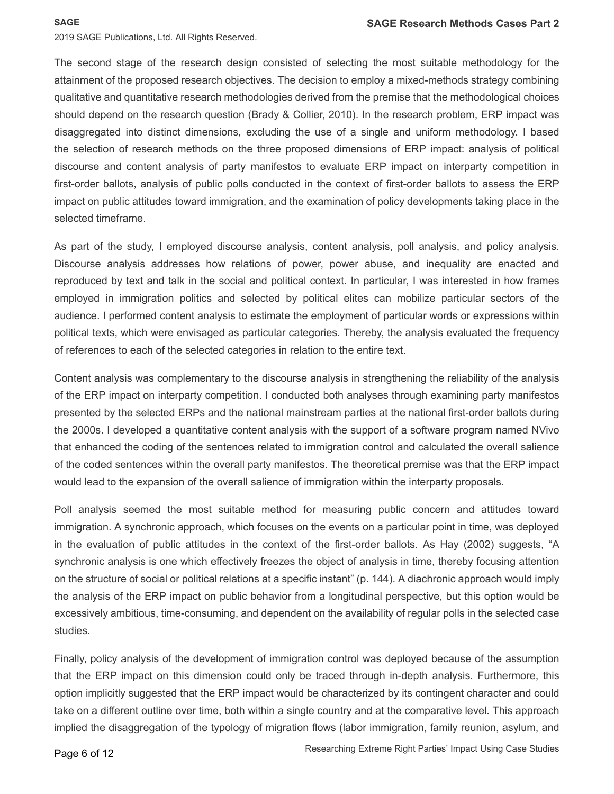The second stage of the research design consisted of selecting the most suitable methodology for the attainment of the proposed research objectives. The decision to employ a mixed-methods strategy combining qualitative and quantitative research methodologies derived from the premise that the methodological choices should depend on the research question (Brady & Collier, 2010). In the research problem, ERP impact was disaggregated into distinct dimensions, excluding the use of a single and uniform methodology. I based the selection of research methods on the three proposed dimensions of ERP impact: analysis of political discourse and content analysis of party manifestos to evaluate ERP impact on interparty competition in first-order ballots, analysis of public polls conducted in the context of first-order ballots to assess the ERP impact on public attitudes toward immigration, and the examination of policy developments taking place in the selected timeframe.

As part of the study, I employed discourse analysis, content analysis, poll analysis, and policy analysis. Discourse analysis addresses how relations of power, power abuse, and inequality are enacted and reproduced by text and talk in the social and political context. In particular, I was interested in how frames employed in immigration politics and selected by political elites can mobilize particular sectors of the audience. I performed content analysis to estimate the employment of particular words or expressions within political texts, which were envisaged as particular categories. Thereby, the analysis evaluated the frequency of references to each of the selected categories in relation to the entire text.

Content analysis was complementary to the discourse analysis in strengthening the reliability of the analysis of the ERP impact on interparty competition. I conducted both analyses through examining party manifestos presented by the selected ERPs and the national mainstream parties at the national first-order ballots during the 2000s. I developed a quantitative content analysis with the support of a software program named NVivo that enhanced the coding of the sentences related to immigration control and calculated the overall salience of the coded sentences within the overall party manifestos. The theoretical premise was that the ERP impact would lead to the expansion of the overall salience of immigration within the interparty proposals.

Poll analysis seemed the most suitable method for measuring public concern and attitudes toward immigration. A synchronic approach, which focuses on the events on a particular point in time, was deployed in the evaluation of public attitudes in the context of the first-order ballots. As Hay (2002) suggests, "A synchronic analysis is one which effectively freezes the object of analysis in time, thereby focusing attention on the structure of social or political relations at a specific instant" (p. 144). A diachronic approach would imply the analysis of the ERP impact on public behavior from a longitudinal perspective, but this option would be excessively ambitious, time-consuming, and dependent on the availability of regular polls in the selected case studies.

Finally, policy analysis of the development of immigration control was deployed because of the assumption that the ERP impact on this dimension could only be traced through in-depth analysis. Furthermore, this option implicitly suggested that the ERP impact would be characterized by its contingent character and could take on a different outline over time, both within a single country and at the comparative level. This approach implied the disaggregation of the typology of migration flows (labor immigration, family reunion, asylum, and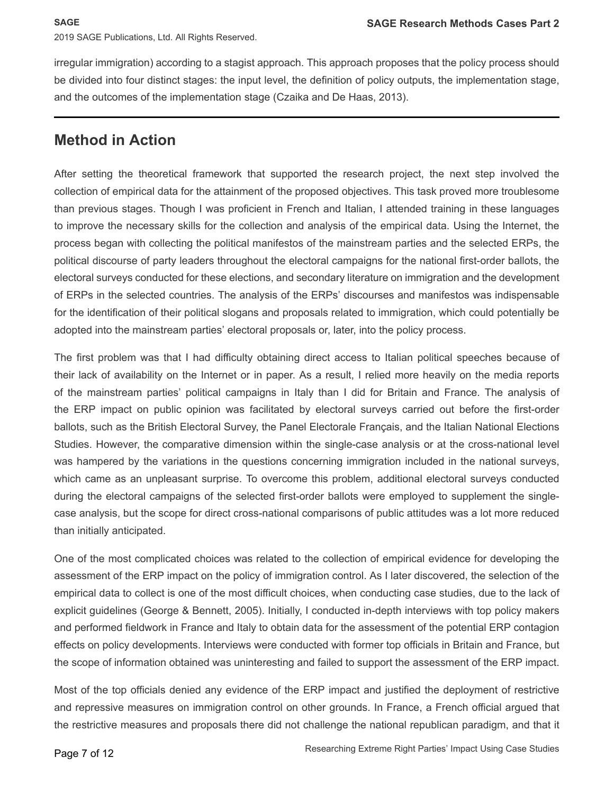irregular immigration) according to a stagist approach. This approach proposes that the policy process should be divided into four distinct stages: the input level, the definition of policy outputs, the implementation stage, and the outcomes of the implementation stage (Czaika and De Haas, 2013).

#### **Method in Action**

After setting the theoretical framework that supported the research project, the next step involved the collection of empirical data for the attainment of the proposed objectives. This task proved more troublesome than previous stages. Though I was proficient in French and Italian, I attended training in these languages to improve the necessary skills for the collection and analysis of the empirical data. Using the Internet, the process began with collecting the political manifestos of the mainstream parties and the selected ERPs, the political discourse of party leaders throughout the electoral campaigns for the national first-order ballots, the electoral surveys conducted for these elections, and secondary literature on immigration and the development of ERPs in the selected countries. The analysis of the ERPs' discourses and manifestos was indispensable for the identification of their political slogans and proposals related to immigration, which could potentially be adopted into the mainstream parties' electoral proposals or, later, into the policy process.

The first problem was that I had difficulty obtaining direct access to Italian political speeches because of their lack of availability on the Internet or in paper. As a result, I relied more heavily on the media reports of the mainstream parties' political campaigns in Italy than I did for Britain and France. The analysis of the ERP impact on public opinion was facilitated by electoral surveys carried out before the first-order ballots, such as the British Electoral Survey, the Panel Electorale Français, and the Italian National Elections Studies. However, the comparative dimension within the single-case analysis or at the cross-national level was hampered by the variations in the questions concerning immigration included in the national surveys, which came as an unpleasant surprise. To overcome this problem, additional electoral surveys conducted during the electoral campaigns of the selected first-order ballots were employed to supplement the singlecase analysis, but the scope for direct cross-national comparisons of public attitudes was a lot more reduced than initially anticipated.

One of the most complicated choices was related to the collection of empirical evidence for developing the assessment of the ERP impact on the policy of immigration control. As I later discovered, the selection of the empirical data to collect is one of the most difficult choices, when conducting case studies, due to the lack of explicit guidelines (George & Bennett, 2005). Initially, I conducted in-depth interviews with top policy makers and performed fieldwork in France and Italy to obtain data for the assessment of the potential ERP contagion effects on policy developments. Interviews were conducted with former top officials in Britain and France, but the scope of information obtained was uninteresting and failed to support the assessment of the ERP impact.

Most of the top officials denied any evidence of the ERP impact and justified the deployment of restrictive and repressive measures on immigration control on other grounds. In France, a French official argued that the restrictive measures and proposals there did not challenge the national republican paradigm, and that it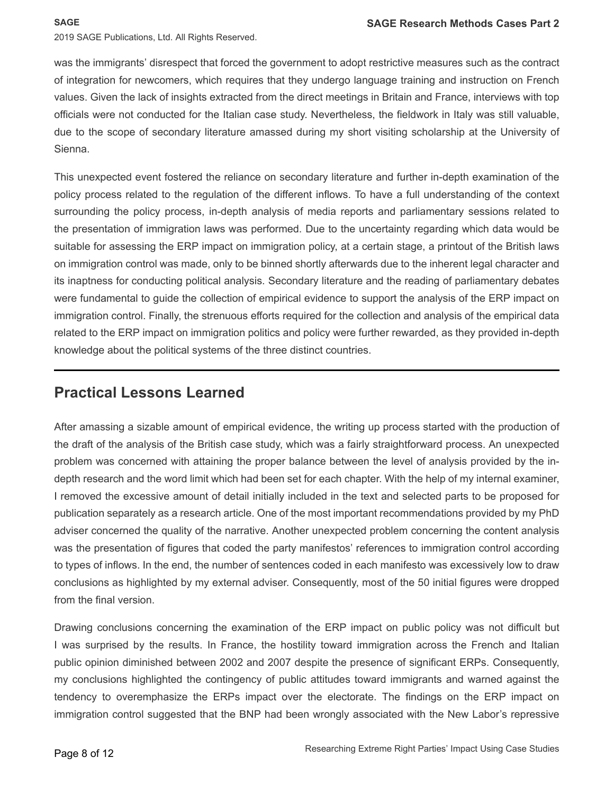was the immigrants' disrespect that forced the government to adopt restrictive measures such as the contract of integration for newcomers, which requires that they undergo language training and instruction on French values. Given the lack of insights extracted from the direct meetings in Britain and France, interviews with top officials were not conducted for the Italian case study. Nevertheless, the fieldwork in Italy was still valuable, due to the scope of secondary literature amassed during my short visiting scholarship at the University of Sienna.

This unexpected event fostered the reliance on secondary literature and further in-depth examination of the policy process related to the regulation of the different inflows. To have a full understanding of the context surrounding the policy process, in-depth analysis of media reports and parliamentary sessions related to the presentation of immigration laws was performed. Due to the uncertainty regarding which data would be suitable for assessing the ERP impact on immigration policy, at a certain stage, a printout of the British laws on immigration control was made, only to be binned shortly afterwards due to the inherent legal character and its inaptness for conducting political analysis. Secondary literature and the reading of parliamentary debates were fundamental to guide the collection of empirical evidence to support the analysis of the ERP impact on immigration control. Finally, the strenuous efforts required for the collection and analysis of the empirical data related to the ERP impact on immigration politics and policy were further rewarded, as they provided in-depth knowledge about the political systems of the three distinct countries.

#### **Practical Lessons Learned**

After amassing a sizable amount of empirical evidence, the writing up process started with the production of the draft of the analysis of the British case study, which was a fairly straightforward process. An unexpected problem was concerned with attaining the proper balance between the level of analysis provided by the indepth research and the word limit which had been set for each chapter. With the help of my internal examiner, I removed the excessive amount of detail initially included in the text and selected parts to be proposed for publication separately as a research article. One of the most important recommendations provided by my PhD adviser concerned the quality of the narrative. Another unexpected problem concerning the content analysis was the presentation of figures that coded the party manifestos' references to immigration control according to types of inflows. In the end, the number of sentences coded in each manifesto was excessively low to draw conclusions as highlighted by my external adviser. Consequently, most of the 50 initial figures were dropped from the final version.

Drawing conclusions concerning the examination of the ERP impact on public policy was not difficult but I was surprised by the results. In France, the hostility toward immigration across the French and Italian public opinion diminished between 2002 and 2007 despite the presence of significant ERPs. Consequently, my conclusions highlighted the contingency of public attitudes toward immigrants and warned against the tendency to overemphasize the ERPs impact over the electorate. The findings on the ERP impact on immigration control suggested that the BNP had been wrongly associated with the New Labor's repressive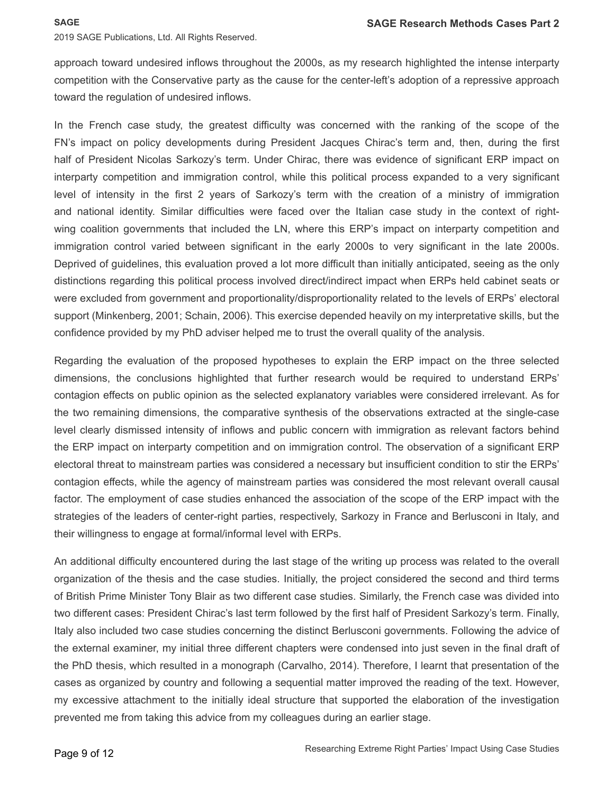approach toward undesired inflows throughout the 2000s, as my research highlighted the intense interparty competition with the Conservative party as the cause for the center-left's adoption of a repressive approach toward the regulation of undesired inflows.

In the French case study, the greatest difficulty was concerned with the ranking of the scope of the FN's impact on policy developments during President Jacques Chirac's term and, then, during the first half of President Nicolas Sarkozy's term. Under Chirac, there was evidence of significant ERP impact on interparty competition and immigration control, while this political process expanded to a very significant level of intensity in the first 2 years of Sarkozy's term with the creation of a ministry of immigration and national identity. Similar difficulties were faced over the Italian case study in the context of rightwing coalition governments that included the LN, where this ERP's impact on interparty competition and immigration control varied between significant in the early 2000s to very significant in the late 2000s. Deprived of guidelines, this evaluation proved a lot more difficult than initially anticipated, seeing as the only distinctions regarding this political process involved direct/indirect impact when ERPs held cabinet seats or were excluded from government and proportionality/disproportionality related to the levels of ERPs' electoral support (Minkenberg, 2001; Schain, 2006). This exercise depended heavily on my interpretative skills, but the confidence provided by my PhD adviser helped me to trust the overall quality of the analysis.

Regarding the evaluation of the proposed hypotheses to explain the ERP impact on the three selected dimensions, the conclusions highlighted that further research would be required to understand ERPs' contagion effects on public opinion as the selected explanatory variables were considered irrelevant. As for the two remaining dimensions, the comparative synthesis of the observations extracted at the single-case level clearly dismissed intensity of inflows and public concern with immigration as relevant factors behind the ERP impact on interparty competition and on immigration control. The observation of a significant ERP electoral threat to mainstream parties was considered a necessary but insufficient condition to stir the ERPs' contagion effects, while the agency of mainstream parties was considered the most relevant overall causal factor. The employment of case studies enhanced the association of the scope of the ERP impact with the strategies of the leaders of center-right parties, respectively, Sarkozy in France and Berlusconi in Italy, and their willingness to engage at formal/informal level with ERPs.

An additional difficulty encountered during the last stage of the writing up process was related to the overall organization of the thesis and the case studies. Initially, the project considered the second and third terms of British Prime Minister Tony Blair as two different case studies. Similarly, the French case was divided into two different cases: President Chirac's last term followed by the first half of President Sarkozy's term. Finally, Italy also included two case studies concerning the distinct Berlusconi governments. Following the advice of the external examiner, my initial three different chapters were condensed into just seven in the final draft of the PhD thesis, which resulted in a monograph (Carvalho, 2014). Therefore, I learnt that presentation of the cases as organized by country and following a sequential matter improved the reading of the text. However, my excessive attachment to the initially ideal structure that supported the elaboration of the investigation prevented me from taking this advice from my colleagues during an earlier stage.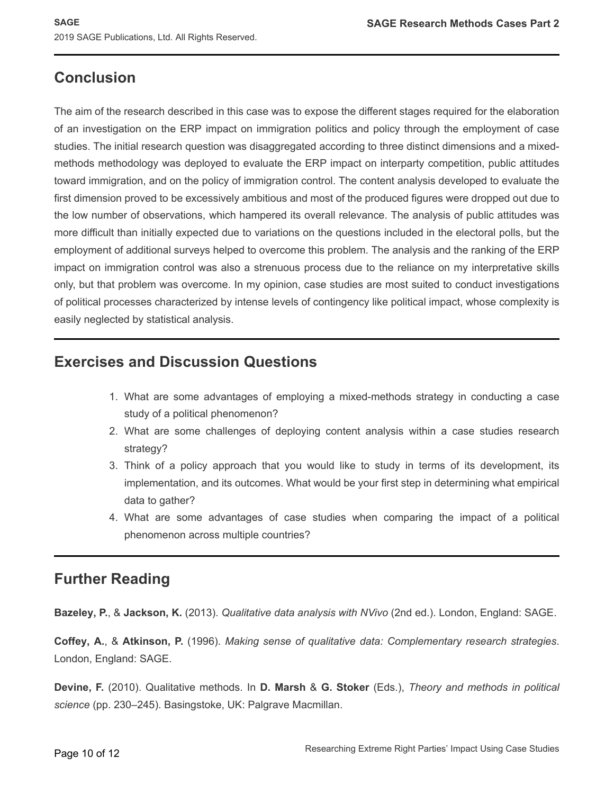### **Conclusion**

The aim of the research described in this case was to expose the different stages required for the elaboration of an investigation on the ERP impact on immigration politics and policy through the employment of case studies. The initial research question was disaggregated according to three distinct dimensions and a mixedmethods methodology was deployed to evaluate the ERP impact on interparty competition, public attitudes toward immigration, and on the policy of immigration control. The content analysis developed to evaluate the first dimension proved to be excessively ambitious and most of the produced figures were dropped out due to the low number of observations, which hampered its overall relevance. The analysis of public attitudes was more difficult than initially expected due to variations on the questions included in the electoral polls, but the employment of additional surveys helped to overcome this problem. The analysis and the ranking of the ERP impact on immigration control was also a strenuous process due to the reliance on my interpretative skills only, but that problem was overcome. In my opinion, case studies are most suited to conduct investigations of political processes characterized by intense levels of contingency like political impact, whose complexity is easily neglected by statistical analysis.

#### **Exercises and Discussion Questions**

- 1. What are some advantages of employing a mixed-methods strategy in conducting a case study of a political phenomenon?
- 2. What are some challenges of deploying content analysis within a case studies research strategy?
- 3. Think of a policy approach that you would like to study in terms of its development, its implementation, and its outcomes. What would be your first step in determining what empirical data to gather?
- 4. What are some advantages of case studies when comparing the impact of a political phenomenon across multiple countries?

### **Further Reading**

**Bazeley, P.**, & **Jackson, K.** (2013). *Qualitative data analysis with NVivo* (2nd ed.). London, England: SAGE.

**Coffey, A.**, & **Atkinson, P.** (1996). *Making sense of qualitative data: Complementary research strategies*. London, England: SAGE.

**Devine, F.** (2010). Qualitative methods. In **D. Marsh** & **G. Stoker** (Eds.), *Theory and methods in political science* (pp. 230–245). Basingstoke, UK: Palgrave Macmillan.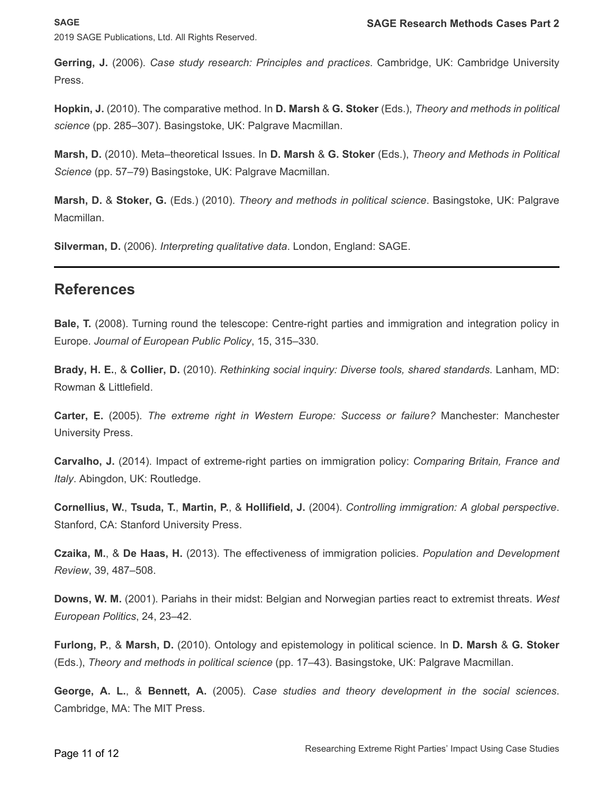**SAGE**

2019 SAGE Publications, Ltd. All Rights Reserved.

**Gerring, J.** (2006). *Case study research: Principles and practices*. Cambridge, UK: Cambridge University Press.

**Hopkin, J.** (2010). The comparative method. In **D. Marsh** & **G. Stoker** (Eds.), *Theory and methods in political science* (pp. 285–307). Basingstoke, UK: Palgrave Macmillan.

**Marsh, D.** (2010). Meta–theoretical Issues. In **D. Marsh** & **G. Stoker** (Eds.), *Theory and Methods in Political Science* (pp. 57–79) Basingstoke, UK: Palgrave Macmillan.

**Marsh, D.** & **Stoker, G.** (Eds.) (2010). *Theory and methods in political science*. Basingstoke, UK: Palgrave Macmillan.

**Silverman, D.** (2006). *Interpreting qualitative data*. London, England: SAGE.

#### **References**

**Bale, T.** (2008). Turning round the telescope: Centre-right parties and immigration and integration policy in Europe. *Journal of European Public Policy*, 15, 315–330.

**Brady, H. E.**, & **Collier, D.** (2010). *Rethinking social inquiry: Diverse tools, shared standards*. Lanham, MD: Rowman & Littlefield.

**Carter, E.** (2005). *The extreme right in Western Europe: Success or failure?* Manchester: Manchester University Press.

**Carvalho, J.** (2014). Impact of extreme-right parties on immigration policy: *Comparing Britain, France and Italy*. Abingdon, UK: Routledge.

**Cornellius, W.**, **Tsuda, T.**, **Martin, P.**, & **Hollifield, J.** (2004). *Controlling immigration: A global perspective*. Stanford, CA: Stanford University Press.

**Czaika, M.**, & **De Haas, H.** (2013). The effectiveness of immigration policies. *Population and Development Review*, 39, 487–508.

**Downs, W. M.** (2001). Pariahs in their midst: Belgian and Norwegian parties react to extremist threats. *West European Politics*, 24, 23–42.

**Furlong, P.**, & **Marsh, D.** (2010). Ontology and epistemology in political science. In **D. Marsh** & **G. Stoker**  (Eds.), *Theory and methods in political science* (pp. 17–43). Basingstoke, UK: Palgrave Macmillan.

**George, A. L.**, & **Bennett, A.** (2005). *Case studies and theory development in the social sciences*. Cambridge, MA: The MIT Press.